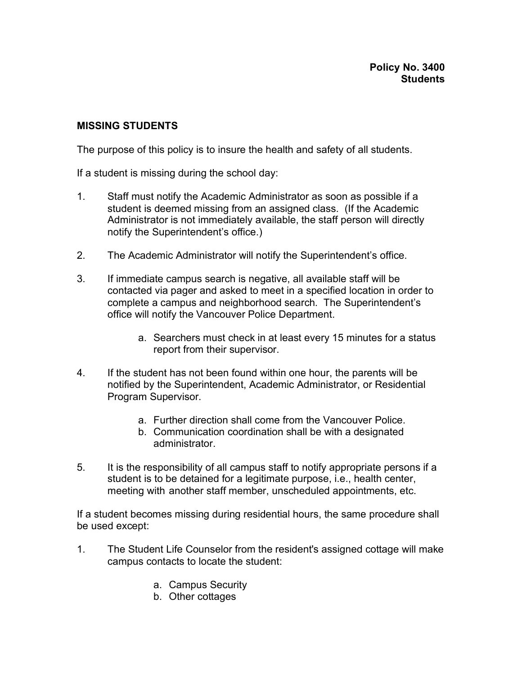## **MISSING STUDENTS**

The purpose of this policy is to insure the health and safety of all students.

If a student is missing during the school day:

- 1. Staff must notify the Academic Administrator as soon as possible if a student is deemed missing from an assigned class. (If the Academic Administrator is not immediately available, the staff person will directly notify the Superintendent's office.)
- 2. The Academic Administrator will notify the Superintendent's office.
- 3. If immediate campus search is negative, all available staff will be contacted via pager and asked to meet in a specified location in order to complete a campus and neighborhood search. The Superintendent's office will notify the Vancouver Police Department.
	- a. Searchers must check in at least every 15 minutes for a status report from their supervisor.
- 4. If the student has not been found within one hour, the parents will be notified by the Superintendent, Academic Administrator, or Residential Program Supervisor.
	- a. Further direction shall come from the Vancouver Police.
	- b. Communication coordination shall be with a designated administrator.
- 5. It is the responsibility of all campus staff to notify appropriate persons if a student is to be detained for a legitimate purpose, i.e., health center, meeting with another staff member, unscheduled appointments, etc.

If a student becomes missing during residential hours, the same procedure shall be used except:

- 1. The Student Life Counselor from the resident's assigned cottage will make campus contacts to locate the student:
	- a. Campus Security
	- b. Other cottages